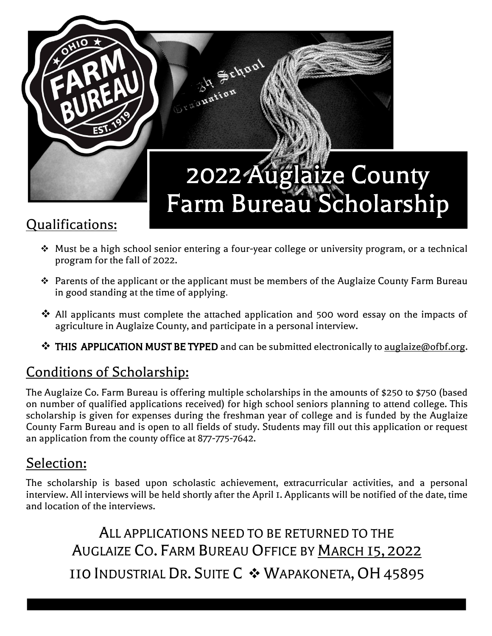

- ❖ Must be a high school senior entering a four-year college or university program, or a technical program for the fall of 2022.
- ❖ Parents of the applicant or the applicant must be members of the Auglaize County Farm Bureau in good standing at the time of applying.
- ❖ All applicants must complete the attached application and 500 word essay on the impacts of agriculture in Auglaize County, and participate in a personal interview.
- ❖ THIS APPLICATION MUST BE TYPED and can be submitted electronically to auglaize@ofbf.org.

## Conditions of Scholarship:

The Auglaize Co. Farm Bureau is offering multiple scholarships in the amounts of \$250 to \$750 (based on number of qualified applications received) for high school seniors planning to attend college. This scholarship is given for expenses during the freshman year of college and is funded by the Auglaize County Farm Bureau and is open to all fields of study. Students may fill out this application or request an application from the county office at 877-775-7642.

## Selection:

The scholarship is based upon scholastic achievement, extracurricular activities, and a personal interview. All interviews will be held shortly after the April 1. Applicants will be notified of the date, time and location of the interviews.

ALL APPLICATIONS NEED TO BE RETURNED TO THE AUGLAIZE CO. FARM BUREAU OFFICE BY MARCH 15, 2022 110 INDUSTRIAL DR. SUITE C ❖ WAPAKONETA,OH45895